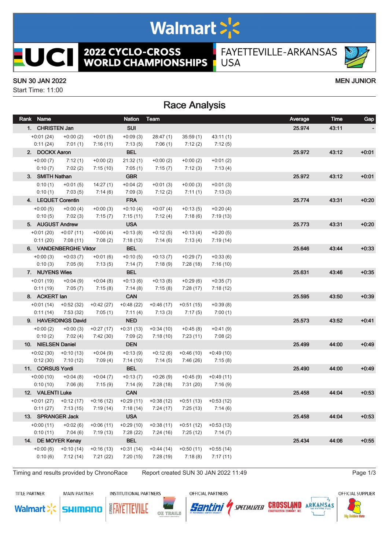## Walmart >'s

**2022 CYCLO-CROSS<br>WORLD CHAMPIONSHIPS** FAYETTEVILLE-ARKANSAS **USA** 

#### SUN 30 JAN 2022 MEN JUNIOR

**UCII** 

Start Time: 11:00

### Race Analysis

| Rank Name               |                                     |                        | <b>Nation</b>          | Team                                                                        |                                     |                        | Average | Time  | Gap     |
|-------------------------|-------------------------------------|------------------------|------------------------|-----------------------------------------------------------------------------|-------------------------------------|------------------------|---------|-------|---------|
| 1. CHRISTEN Jan         |                                     |                        | <b>SUI</b>             |                                                                             |                                     |                        | 25.974  | 43:11 |         |
| $+0:01(24)$             | $+0:00(2)$                          | $+0:01(5)$             | $+0.09(3)$             | 28:47(1)                                                                    | 35:59(1)                            | 43:11(1)               |         |       |         |
| 0:11(24)                | 7:01(1)                             | 7:16(11)               | 7:13(5)                | 7:06(1)                                                                     | 7:12(2)                             | 7:12(5)                |         |       |         |
| 2. DOCKX Aaron          |                                     |                        | <b>BEL</b>             |                                                                             |                                     |                        | 25.972  | 43:12 | $+0:01$ |
| $+0:00(7)$              | 7:12(1)                             | $+0:00(2)$             | 21:32(1)               | $+0:00(2)$                                                                  | $+0:00(2)$                          | $+0:01(2)$             |         |       |         |
| 0:10(7)                 | 7:02(2)                             | 7:15(10)               | 7:05(1)                | 7:15(7)                                                                     | 7:12(3)                             | 7:13(4)                |         |       |         |
| 3. SMITH Nathan         |                                     |                        | <b>GBR</b>             |                                                                             |                                     |                        | 25.972  | 43:12 | $+0:01$ |
| 0:10(1)                 | $+0:01(5)$                          | 14:27(1)               | $+0:04(2)$             | $+0:01(3)$                                                                  | $+0:00(3)$                          | $+0:01(3)$             |         |       |         |
| 0:10(1)                 | 7:03(5)                             | 7:14(6)                | 7:09(3)                | 7:12(2)                                                                     | 7:11(1)                             | 7:13(3)                |         |       |         |
| 4. LEQUET Corentin      |                                     |                        | <b>FRA</b>             |                                                                             |                                     |                        | 25.774  | 43:31 | $+0:20$ |
| $+0:00(5)$              | $+0:00(4)$                          | $+0:00(3)$             | $+0:10(4)$             | $+0:07(4)$                                                                  | $+0:13(5)$                          | $+0:20(4)$             |         |       |         |
| 0:10(5)                 | 7:02(3)                             | 7:15(7)                | 7:15(11)               | 7:12 (4)                                                                    | 7:18(6)                             | 7:19(13)               |         |       |         |
| 5. AUGUST Andrew        |                                     |                        | <b>USA</b>             |                                                                             |                                     |                        | 25.773  | 43:31 | $+0:20$ |
|                         | $+0.01(20)$ $+0.07(11)$             | $+0:00(4)$             | $+0:13(8)$             | $+0:12(5)$                                                                  | $+0:13(4)$                          | $+0:20(5)$             |         |       |         |
| 0:11(20)                | 7:08(11)                            | 7:08(2)                | 7:18(13)               | 7:14 (6)                                                                    | 7:13 (4)                            | 7:19(14)               |         |       |         |
|                         | 6. VANDENBERGHE Viktor              |                        | <b>BEL</b>             |                                                                             |                                     |                        | 25.646  | 43:44 | $+0.33$ |
| $+0:00(3)$              | $+0:03(7)$                          | $+0:01(6)$             | $+0:10(5)$             | $+0:13(7)$                                                                  | $+0:29(7)$                          | $+0:33(6)$             |         |       |         |
| 0:10(3)                 | 7:05 (9)                            | 7:13(5)                | 7:14 (7)               | 7:18 (9)                                                                    | 7:28 (18)                           | 7:16(10)               |         |       |         |
| 7. NUYENS Wies          |                                     |                        | <b>BEL</b>             |                                                                             |                                     |                        | 25.631  | 43:46 | $+0:35$ |
| $+0:01(19)$<br>0:11(19) | $+0.04(9)$<br>7:05(7)               | $+0:04(8)$<br>7:15(8)  | $+0:13(6)$             | $+0:13(8)$<br>7:15(8)                                                       | $+0.29(6)$<br>7:28(17)              | $+0:35(7)$             |         |       |         |
| 8. ACKERT lan           |                                     |                        | 7:14 (8)<br><b>CAN</b> |                                                                             |                                     | 7:18(12)               | 25.595  | 43:50 | $+0:39$ |
| $+0:01(14)$             |                                     |                        | $+0.48(22)$            |                                                                             |                                     |                        |         |       |         |
| 0:11(14)                | +0:52 (32)<br>7:53 (32)             | $+0.42(27)$<br>7:05(1) | 7:11 (4)               | +0:46 (17)<br>7:13 (3)                                                      | +0:51 (15)<br>7:17(5)               | $+0:39(8)$<br>7:00(1)  |         |       |         |
|                         | 9. HAVERDINGS David                 |                        | <b>NED</b>             |                                                                             |                                     |                        | 25.573  | 43:52 | $+0:41$ |
| $+0:00(2)$              | $+0:00(3)$                          | $+0.27(17)$            | $+0:31(13)$            | $+0.34(10)$                                                                 | $+0.45(8)$                          | $+0:41(9)$             |         |       |         |
| 0:10(2)                 | 7:02(4)                             | 7:42 (30)              | 7:09(2)                | 7:18 (10)                                                                   | 7:23(11)                            | 7:08(2)                |         |       |         |
| 10. NIELSEN Daniel      |                                     |                        | <b>DEN</b>             |                                                                             |                                     |                        | 25.499  | 44:00 | $+0:49$ |
| $+0.02(30)$             | $+0:10(13)$                         | $+0:04(9)$             | $+0:13(9)$             | $+0:12(6)$                                                                  | $+0.46(10)$                         | $+0:49(10)$            |         |       |         |
| 0:12(30)                | 7:10(12)                            | 7:09(4)                | 7:14(10)               | 7:14(5)                                                                     | 7:46 (26)                           | 7:15(8)                |         |       |         |
| 11. CORSUS Yordi        |                                     |                        | <b>BEL</b>             |                                                                             |                                     |                        | 25.490  | 44:00 | $+0:49$ |
| $+0:00(10)$             | $+0:04(8)$                          | $+0:04(7)$             | $+0:13(7)$             | $+0.26(9)$                                                                  |                                     | $+0.45(9)$ $+0.49(11)$ |         |       |         |
| 0:10(10)                | 7:06 (8)                            | 7:15 (9)               | 7:14 (9)               | 7:28 (18)                                                                   | 7:31 (20)                           | 7:16 (9)               |         |       |         |
| 12. VALENTI Luke        |                                     |                        | <b>CAN</b>             |                                                                             |                                     |                        | 25.458  | 44.04 | $+0:53$ |
|                         | $+0.01(27)$ $+0.12(17)$ $+0.16(12)$ |                        | +0:29 (11)             |                                                                             | $+0.38(12)$ $+0.51(13)$ $+0.53(12)$ |                        |         |       |         |
|                         |                                     |                        |                        | $0:11(27)$ $7:13(15)$ $7:19(14)$ $7:18(14)$ $7:24(17)$ $7:25(13)$ $7:14(6)$ |                                     |                        |         |       |         |
| 13. SPRANGER Jack       |                                     |                        | <b>USA</b>             |                                                                             |                                     |                        | 25.458  | 44:04 | $+0:53$ |
| $+0:00(11)$             | $+0.02(6)$                          | $+0.06(11)$            | $+0:29(10)$            | $+0:38(11)$                                                                 | $+0:51(12)$                         | $+0.53(13)$            |         |       |         |
| 0:10(11)                | 7:04(6)                             | 7:19(13)               | 7:28(22)               | 7:24(16)                                                                    | 7:25(12)                            | 7:14(7)                |         |       |         |
|                         | 14. DE MOYER Kenay                  |                        | <b>BEL</b>             |                                                                             |                                     |                        | 25.434  | 44:06 | $+0:55$ |
| $+0:00(6)$              | $+0:10(14)$                         | $+0:16(13)$            | $+0:31(14)$            | $+0:44(14)$                                                                 | $+0:50(11)$                         | $+0:55(14)$            |         |       |         |
| 0:10(6)                 | 7:12(14)                            | 7:21(22)               | 7:20(15)               | 7:28(19)                                                                    | 7:18(8)                             | 7:17(11)               |         |       |         |
|                         |                                     |                        |                        |                                                                             |                                     |                        |         |       |         |

Timing and results provided by ChronoRace Report created SUN 30 JAN 2022 11:49

TITLE PARTNER

**Walmart** 

**MAIN PARTNER** 

SHIMANO



OZ TRAILS

**EAYETTEVILLE** 



Santini





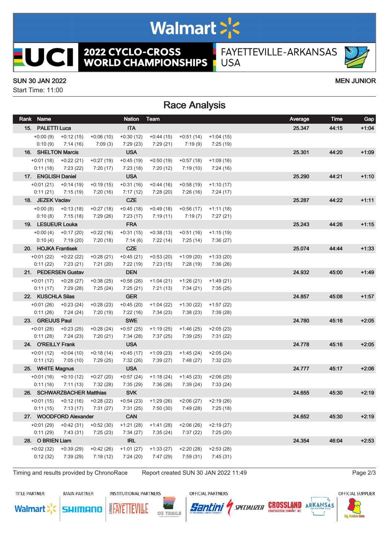# Walmart >'s

**2022 CYCLO-CROSS<br>WORLD CHAMPIONSHIPS** 

FAYETTEVILLE-ARKANSAS **USA** 

#### SUN 30 JAN 2022 MEN JUNIOR

**UCII** 

Start Time: 11:00

#### Race Analysis

| Rank Name               |                                     |                                  | <b>Nation</b>           | Team                                                  |                         |                         | Average | Time  | Gap     |
|-------------------------|-------------------------------------|----------------------------------|-------------------------|-------------------------------------------------------|-------------------------|-------------------------|---------|-------|---------|
| 15. PALETTI Luca        |                                     |                                  | <b>ITA</b>              |                                                       |                         |                         | 25.347  | 44:15 | $+1:04$ |
| $+0:00(9)$              | $+0:12(15)$                         | $+0:06(10)$                      | $+0:30(12)$             | $+0:44(15)$                                           | $+0:51(14)$             | $+1:04(15)$             |         |       |         |
| 0:10(9)                 | 7:14 (16)                           | 7:09(3)                          | 7:29(23)                | 7:29 (21)                                             | 7:19 (9)                | 7:25 (19)               |         |       |         |
| 16. SHELTON Marcis      |                                     |                                  | <b>USA</b>              |                                                       |                         |                         | 25.301  | 44:20 | $+1:09$ |
| $+0:01(18)$             | $+0:22(21)$                         | $+0:27(19)$                      | $+0:45(19)$             | $+0.50(19)$                                           | $+0:57(18)$             | $+1:09(16)$             |         |       |         |
| 0:11(18)                | 7:23(22)                            | 7:20(17)                         | 7:23(18)                | 7:20(12)                                              | 7:19 (10)               | 7:24 (16)               |         |       |         |
| 17. ENGLISH Daniel      |                                     |                                  | <b>USA</b>              |                                                       |                         |                         | 25.290  | 44:21 | $+1:10$ |
| $+0:01(21)$             | $+0:14(19)$                         | $+0.19(15)$                      | $+0:31(16)$             | $+0:44(16)$                                           | $+0.58(19)$             | $+1:10(17)$             |         |       |         |
| 0:11(21)                | 7:15(19)                            | 7:20(16)                         | 7:17(12)                | 7:28(20)                                              | 7:26 (16)               | 7:24 (17)               |         |       |         |
| 18. JEZEK Vaclav        |                                     |                                  | <b>CZE</b>              |                                                       |                         |                         | 25.287  | 44.22 | $+1:11$ |
|                         | $+0.00(8)$ $+0.13(18)$              | $+0:27(18)$                      | $+0.45(18)$             | $+0.49(18)$                                           | $+0:56(17)$             | $+1:11(18)$             |         |       |         |
| 0:10(8)                 | 7:15 (18)                           | 7:29 (26)                        | 7:23 (17)               | 7:19 (11)                                             | 7:19 (7)                | 7:27 (21)               |         |       |         |
| 19. LESUEUR Louka       |                                     |                                  | <b>FRA</b>              |                                                       |                         |                         | 25.243  | 44:26 | $+1:15$ |
|                         | $+0:00(4)$ $+0:17(20)$              | $+0:22(16)$                      | $+0:31(15)$             | $+0.38(13)$                                           | +0:51 (16)              | $+1:15(19)$             |         |       |         |
| 0:10(4)                 | 7:19 (20)                           | 7:20(18)                         | 7:14(6)                 | 7:22(14)                                              | 7:25 (14)               | 7:36 (27)               |         |       |         |
| 20. HOJKA Frantisek     |                                     |                                  | <b>CZE</b>              |                                                       |                         |                         | 25.074  | 44:44 | $+1:33$ |
|                         | $+0.01(22)$ $+0.22(22)$             | $+0.28(21)$                      | $+0.45(21)$             | $+0.53(20)$                                           | $+1:09(20)$             | $+1:33(20)$             |         |       |         |
|                         | $0:11(22)$ $7:23(21)$               | 7:21(20)                         | 7:22 (19)               | 7:23 (15)                                             | 7:28 (19)               | 7:36 (26)               |         |       |         |
|                         | 21. PEDERSEN Gustav                 |                                  | <b>DEN</b>              |                                                       |                         |                         | 24.932  | 45:00 | $+1.49$ |
|                         | $+0:01(17)$ $+0:28(27)$             | $+0:38(25)$                      | $+0.58(26)$             | $+1:04(21)$                                           | $+1:26(21)$             | $+1:49(21)$             |         |       |         |
| 0:11(17)                | 7:29 (28)                           | 7:25(24)                         | 7:25(21)                | 7:21 (13)                                             | 7:34 (21)               | 7:35 (25)               |         |       |         |
| 22. KUSCHLA Silas       |                                     |                                  | <b>GER</b>              |                                                       |                         |                         | 24.857  | 45:08 | $+1:57$ |
|                         | $+0.01(26)$ $+0.23(24)$             | $+0:28(23)$                      | $+0:45(20)$             | $+1:04(22)$                                           | $+1:30(22)$             | $+1:57(22)$             |         |       |         |
| 0:11(26)                | 7:24 (24)                           | 7:20 (19)                        | 7:22 (16)               | 7:34 (23)                                             | 7:38 (23)               | 7:39 (28)               |         |       |         |
| 23. GREIJUS Paul        |                                     |                                  | <b>SWE</b>              |                                                       |                         |                         | 24.780  | 45:16 | $+2:05$ |
| +0:01 (28)              | $+0.23(25)$                         | $+0.28(24)$                      | $+0.57(25)$             | $+1:19(25)$                                           | $+1:46(25)$             | $+2:05(23)$             |         |       |         |
| 0:11(28)                | 7:24 (23)                           | 7:20 (21)                        | 7:34 (28)               | 7:37 (25)                                             | 7:39 (25)               | 7:31 (22)               |         |       |         |
| 24. O'REILLY Frank      |                                     |                                  | <b>USA</b>              |                                                       |                         |                         | 24.778  | 45:16 | $+2:05$ |
| $+0:01(12)$             | $+0.04(10)$                         | $+0:18(14)$                      | $+0:45(17)$             | $+1:09(23)$                                           | $+1:45(24)$             | $+2:05(24)$             |         |       |         |
| 0:11(12)                | 7:05(10)                            | 7:29 (25)                        | 7:32(26)                | 7:39(27)                                              | 7:48 (27)               | 7:32 (23)               |         |       |         |
| 25. WHITE Magnus        |                                     |                                  | <b>USA</b>              |                                                       |                         |                         | 24.777  | 45:17 | $+2:06$ |
|                         | $+0.01(16)$ $+0.10(12)$             | $+0:27(20)$                      | $+0.57(24)$             | $+1:18(24)$                                           | $+1:45(23)$             | $+2:06(25)$             |         |       |         |
| 0:11(16)                | 7:11(13)                            | 7:32 (28)                        | 7:35 (29)               | 7:36 (26)                                             | 7:39 (24)               | 7:33 (24)               |         |       |         |
|                         | 26. SCHWARZBACHER Matthias          |                                  | <b>SVK</b>              |                                                       |                         |                         | 24.655  | 45:30 | $+2:19$ |
|                         | $+0:01(15)$ $+0:12(16)$ $+0:28(22)$ |                                  | $+0.54(23)$             | +1:29 (26)<br>7:31 (25) 7:50 (30) 7:49 (28) 7:25 (18) | +2:06 (27)              | $+2:19(26)$             |         |       |         |
|                         |                                     | $0:11(15)$ $7:13(17)$ $7:31(27)$ |                         |                                                       |                         |                         |         |       |         |
|                         | 27. WOODFORD Alexander              |                                  | <b>CAN</b>              |                                                       |                         |                         | 24.652  | 45:30 | $+2:19$ |
| $+0:01(29)$<br>0:11(29) | $+0.42(31)$<br>7:43 (31)            | $+0:52(30)$<br>7:25(23)          | $+1:21(28)$<br>7:34(27) | $+1:41(28)$<br>7:35(24)                               | $+2:06(26)$<br>7:37(22) | $+2:19(27)$<br>7:25(20) |         |       |         |
| 28. O BRIEN Liam        |                                     |                                  | <b>IRL</b>              |                                                       |                         |                         | 24.354  | 46:04 | $+2:53$ |
| $+0.02(32)$             | $+0.39(29)$                         | $+0:42(26)$                      | $+1:01(27)$             | $+1:33(27)$                                           | $+2:20(28)$             | $+2:53(28)$             |         |       |         |
| 0:12(32)                | 7:39 (29)                           | 7:18(12)                         | 7:24(20)                | 7:47(29)                                              | 7:59(31)                | 7:45(31)                |         |       |         |
|                         |                                     |                                  |                         |                                                       |                         |                         |         |       |         |

Timing and results provided by ChronoRace Report created SUN 30 JAN 2022 11:49

SHIMANO

OZ TRAILS

**TITLE PARTNER** 

**Walmart** 

**MAIN PARTNER** 

**INSTITUTIONAL PARTNERS** 

**EAYETTEVILLE** 

OFFICIAL PARTNERS